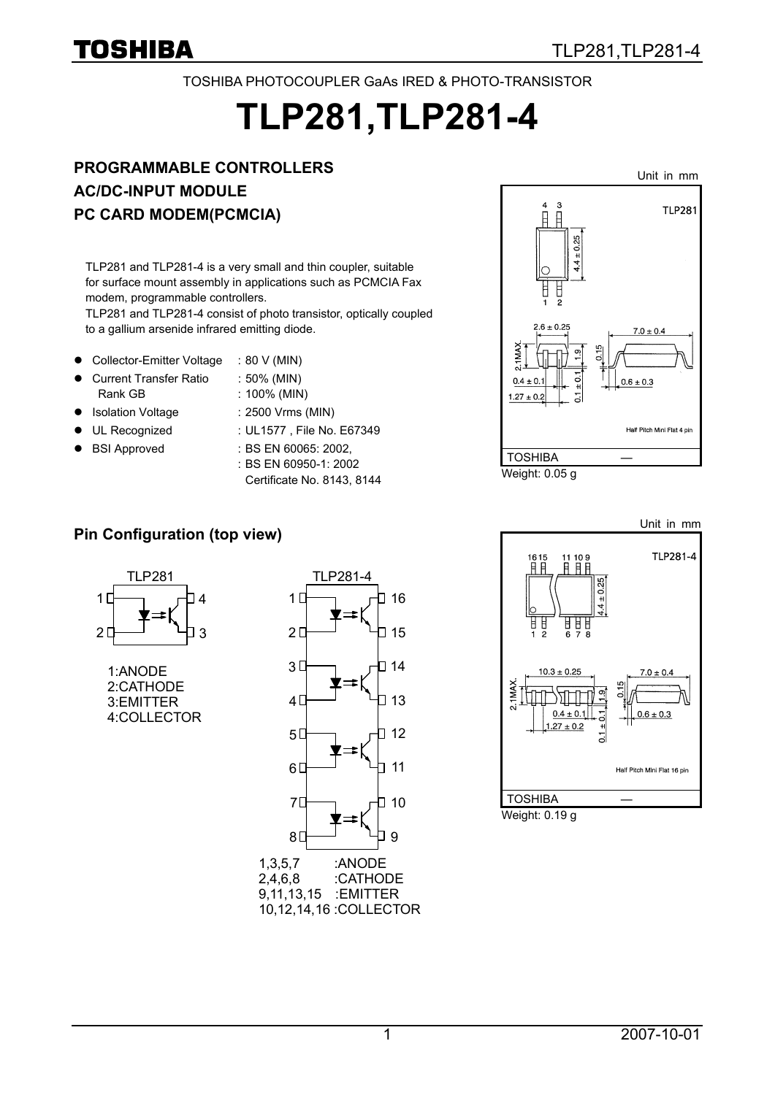#### TOSHIBA PHOTOCOUPLER GaAs IRED & PHOTO-TRANSISTOR

# **TLP281,TLP281-4**

## **PROGRAMMABLE CONTROLLERS AC/DC-INPUT MODULE PC CARD MODEM(PCMCIA)**

TLP281 and TLP281-4 is a very small and thin coupler, suitable for surface mount assembly in applications such as PCMCIA Fax modem, programmable controllers.

TLP281 and TLP281-4 consist of photo transistor, optically coupled to a gallium arsenide infrared emitting diode.

- Collector-Emitter Voltage : 80 V (MIN)
- z Current Transfer Ratio : 50% (MIN) Rank GB : 100% (MIN)
- Isolation Voltage : 2500 Vrms (MIN)
- 
- z BSI Approved : BS EN 60065: 2002,
- 
- UL Recognized : UL1577, File No. E67349
	- : BS EN 60950-1: 2002 Certificate No. 8143, 8144



## **Pin Configuration (top view)**



1:ANODE 2:CATHODE 3:EMITTER 4:COLLECTOR



2,4,6,8 :CATHODE 9,11,13,15 :EMITTER 10,12,14,16 :COLLECTOR

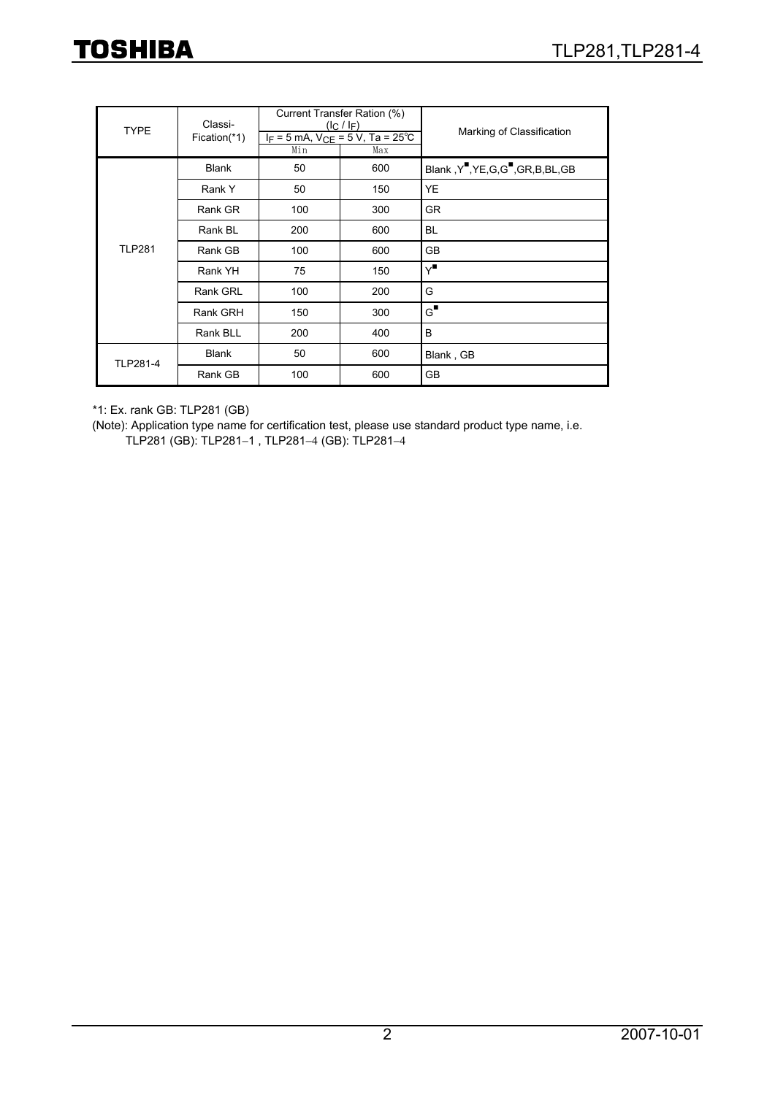| <b>TYPE</b>     | Classi-      |     | Current Transfer Ration (%)<br>$(l_C / l_F)$   | Marking of Classification           |  |  |
|-----------------|--------------|-----|------------------------------------------------|-------------------------------------|--|--|
|                 | Fication(*1) | Min | $I_F = 5$ mA, $V_{CE} = 5$ V, Ta = 25°C<br>Max |                                     |  |  |
|                 | <b>Blank</b> | 50  | 600                                            | Blank, Y", YE, G, G", GR, B, BL, GB |  |  |
|                 | Rank Y       | 50  | 150                                            | YE                                  |  |  |
|                 | Rank GR      | 100 | 300                                            | <b>GR</b>                           |  |  |
|                 | Rank BL      | 200 | 600                                            | BL                                  |  |  |
| <b>TLP281</b>   | Rank GB      | 100 | 600                                            | <b>GB</b>                           |  |  |
|                 | Rank YH      | 75  | 150                                            | Y"                                  |  |  |
|                 | Rank GRL     | 100 | 200                                            | G                                   |  |  |
|                 | Rank GRH     | 150 | 300                                            | $\mathsf{G}^{\blacksquare}$         |  |  |
|                 | Rank BLL     | 200 | 400                                            | B                                   |  |  |
| <b>TLP281-4</b> | <b>Blank</b> | 50  | 600                                            | Blank, GB                           |  |  |
|                 | Rank GB      | 100 | 600                                            | <b>GB</b>                           |  |  |

\*1: Ex. rank GB: TLP281 (GB)

(Note): Application type name for certification test, please use standard product type name, i.e.

TLP281 (GB): TLP281−1 , TLP281−4 (GB): TLP281−4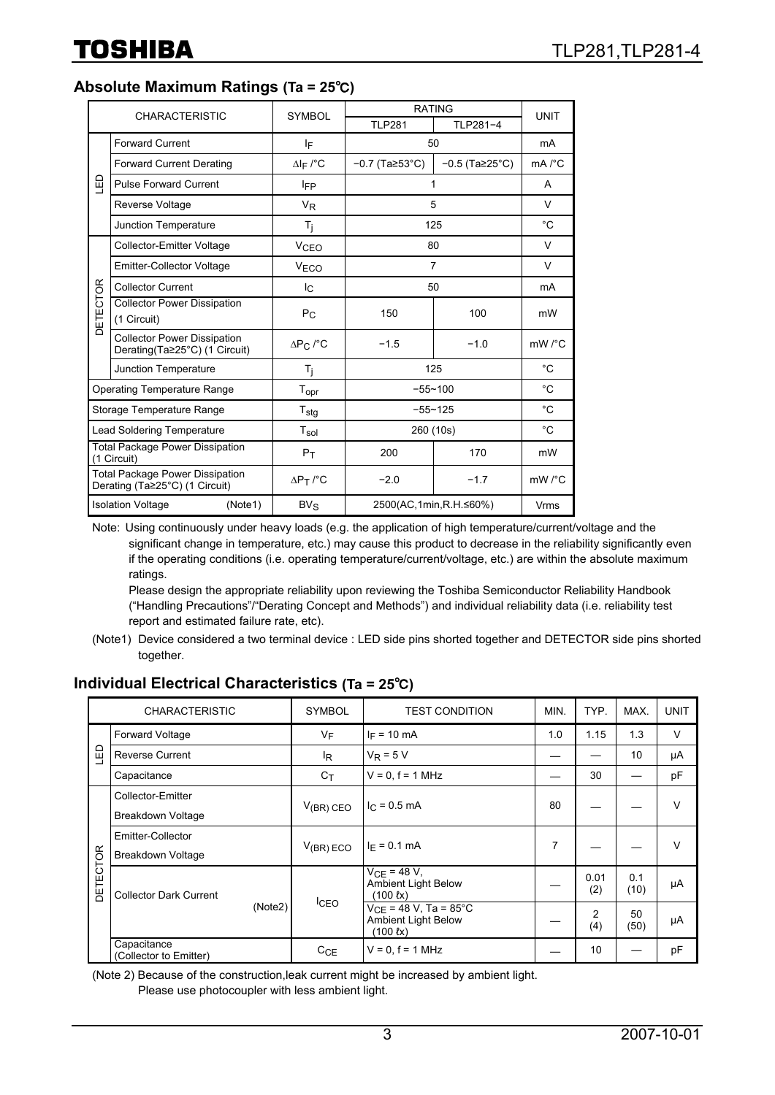#### **Absolute Maximum Ratings (Ta = 25**℃**)**

| <b>CHARACTERISTIC</b>                                                    |                                                                     | <b>SYMBOL</b>                       | <b>RATING</b>                   | <b>UNIT</b>      |                     |
|--------------------------------------------------------------------------|---------------------------------------------------------------------|-------------------------------------|---------------------------------|------------------|---------------------|
|                                                                          |                                                                     |                                     | <b>TLP281</b>                   | TLP281-4         |                     |
| <b>Forward Current</b>                                                   |                                                                     | ΙF                                  | 50                              |                  | mA                  |
|                                                                          | <b>Forward Current Derating</b>                                     | $\Delta I$ F /°C                    | $-0.7$ (Ta $\geq 53^{\circ}$ C) | $-0.5$ (Ta 25°C) | $mA$ / $°C$         |
| 밉                                                                        | <b>Pulse Forward Current</b>                                        | <b>IFP</b>                          |                                 |                  | A                   |
|                                                                          | Reverse Voltage                                                     | <b>V<sub>R</sub></b>                | 5                               |                  | V                   |
|                                                                          | Junction Temperature                                                | $T_j$                               | 125                             |                  | °C                  |
|                                                                          | Collector-Emitter Voltage                                           | <b>V<sub>CEO</sub></b>              | 80                              |                  | V                   |
|                                                                          | <b>Emitter-Collector Voltage</b>                                    | V <sub>ECO</sub>                    | $\overline{7}$                  |                  | V                   |
|                                                                          | <b>Collector Current</b>                                            | I <sub>C</sub>                      | 50                              |                  | mA                  |
| DETECTOR                                                                 | <b>Collector Power Dissipation</b><br>(1 Circuit)                   | $P_{\rm C}$                         | 150                             | 100              | mW                  |
|                                                                          | <b>Collector Power Dissipation</b><br>Derating(Ta≥25°C) (1 Circuit) | $\Delta P_C$ /°C                    | $-1.5$<br>$-1.0$                |                  | mW /°C              |
|                                                                          | Junction Temperature                                                | T <sub>i</sub>                      |                                 | 125              |                     |
|                                                                          | <b>Operating Temperature Range</b>                                  | $T_{\text{opr}}$                    | $-55 - 100$                     |                  | $^{\circ}$ C        |
| Storage Temperature Range                                                |                                                                     | $T_{\text{stg}}$                    | $-55 - 125$                     |                  | $^{\circ}$ C        |
| <b>Lead Soldering Temperature</b>                                        |                                                                     | $T_{sol}$                           | 260 (10s)                       |                  | $^{\circ}$ C        |
| <b>Total Package Power Dissipation</b><br>(1 Circuit)                    |                                                                     | $P_T$                               | 200                             | 170              | mW                  |
| <b>Total Package Power Dissipation</b><br>Derating (Ta≥25°C) (1 Circuit) |                                                                     | $\Delta P$ <sub>T</sub> $\prime$ °C | $-2.0$                          | $-1.7$           | $mW$ / $^{\circ}$ C |
|                                                                          | <b>Isolation Voltage</b><br>(Note1)                                 | $BV_S$                              | 2500(AC,1min,R.H.≤60%)          |                  | Vrms                |

Note: Using continuously under heavy loads (e.g. the application of high temperature/current/voltage and the significant change in temperature, etc.) may cause this product to decrease in the reliability significantly even if the operating conditions (i.e. operating temperature/current/voltage, etc.) are within the absolute maximum ratings.

Please design the appropriate reliability upon reviewing the Toshiba Semiconductor Reliability Handbook ("Handling Precautions"/"Derating Concept and Methods") and individual reliability data (i.e. reliability test report and estimated failure rate, etc).

#### **Individual Electrical Characteristics (Ta = 25**℃**)**

| <b>CHARACTERISTIC</b> |                                        | <b>SYMBOL</b>  | <b>TEST CONDITION</b>                                                               | MIN. | TYP.                  | MAX.        | <b>UNIT</b> |
|-----------------------|----------------------------------------|----------------|-------------------------------------------------------------------------------------|------|-----------------------|-------------|-------------|
| 品                     | <b>Forward Voltage</b>                 | $V_F$          | $I_F = 10$ mA                                                                       | 1.0  | 1.15                  | 1.3         | $\vee$      |
|                       | <b>Reverse Current</b>                 | l <sub>R</sub> | $V_R = 5 V$                                                                         |      |                       | 10          | μA          |
|                       | Capacitance                            | $C_T$          | $V = 0$ . $f = 1$ MHz                                                               |      | 30                    |             | pF          |
|                       | Collector-Emitter<br>Breakdown Voltage | $V_{(BR)}$ CEO | $I_C = 0.5$ mA                                                                      | 80   |                       |             | v           |
| DETECTOR              | Emitter-Collector<br>Breakdown Voltage | $V(BR)$ ECO    | $I_F = 0.1$ mA                                                                      | 7    |                       |             | v           |
|                       | <b>Collector Dark Current</b>          | <b>ICEO</b>    | $V_{CF} = 48 V,$<br>Ambient Light Below<br>$(100 \text{ fx})$                       |      | 0.01<br>(2)           | 0.1<br>(10) | μA          |
|                       | (Note2)                                |                | $V_{CF}$ = 48 V, Ta = 85°C<br><b>Ambient Light Below</b><br>$(100 \text{ } \ell x)$ |      | $\overline{2}$<br>(4) | 50<br>(50)  | μA          |
|                       | Capacitance<br>(Collector to Emitter)  | CCE            | $V = 0$ , $f = 1$ MHz                                                               |      | 10                    |             | pF          |

(Note 2) Because of the construction,leak current might be increased by ambient light. Please use photocoupler with less ambient light.

<sup>(</sup>Note1) Device considered a two terminal device : LED side pins shorted together and DETECTOR side pins shorted together.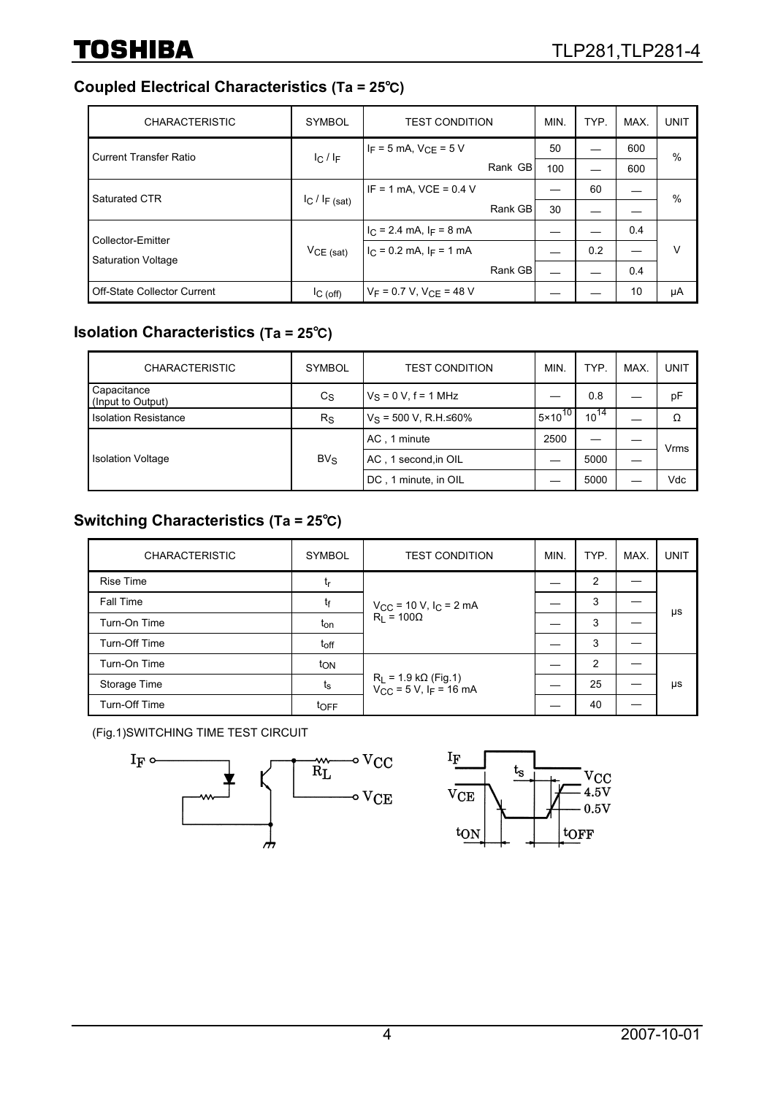## **Coupled Electrical Characteristics (Ta = 25**℃**)**

| <b>CHARACTERISTIC</b>         | <b>SYMBOL</b>       | <b>TEST CONDITION</b>                | MIN. | TYP. | MAX. | <b>UNIT</b> |
|-------------------------------|---------------------|--------------------------------------|------|------|------|-------------|
| <b>Current Transfer Ratio</b> | $C/I_F$             | $I_F = 5$ mA, $V_{CF} = 5$ V         | 50   |      | 600  | $\%$        |
|                               |                     | Rank GB                              | 100  |      | 600  |             |
| Saturated CTR                 | $I_C$ / $I_F$ (sat) | $IF = 1 mA$ , $VCE = 0.4 V$          |      | 60   |      | %           |
|                               |                     | Rank GB                              | 30   |      |      |             |
| Collector-Emitter             |                     | $IC$ = 2.4 mA, $IF$ = 8 mA           |      |      | 0.4  |             |
| <b>Saturation Voltage</b>     | $VCE$ (sat)         | $IC$ = 0.2 mA, I <sub>F</sub> = 1 mA |      | 0.2  |      | v           |
|                               |                     | Rank GB                              |      |      | 0.4  |             |
| Off-State Collector Current   | IC(off)             | $V_F = 0.7 V$ , $V_{CF} = 48 V$      |      |      | 10   | μA          |

## **Isolation Characteristics (Ta = 25**℃**)**

| <b>CHARACTERISTIC</b>            | <b>SYMBOL</b> | <b>TEST CONDITION</b>           | MIN.               | TYP.      | MAX. | <b>UNIT</b> |
|----------------------------------|---------------|---------------------------------|--------------------|-----------|------|-------------|
| Capacitance<br>(Input to Output) | $c_{\rm S}$   | $V_S = 0 V, f = 1 MHz$          |                    | 0.8       |      | pF          |
| <b>Isolation Resistance</b>      | $R_{\rm S}$   | $V_S$ = 500 V, R.H. $\leq 60\%$ | $5 \times 10^{10}$ | $10^{14}$ |      | Ω           |
|                                  |               | AC, 1 minute                    | 2500               |           |      | Vrms        |
| <b>Isolation Voltage</b>         | $BV_S$        | AC, 1 second, in OIL            |                    | 5000      |      |             |
|                                  |               | DC, 1 minute, in OIL            |                    | 5000      |      | Vdc         |

### **Switching Characteristics (Ta = 25**℃**)**

| <b>CHARACTERISTIC</b> | <b>SYMBOL</b>   | <b>TEST CONDITION</b>                                                    | MIN. | TYP. | MAX. | <b>UNIT</b> |
|-----------------------|-----------------|--------------------------------------------------------------------------|------|------|------|-------------|
| <b>Rise Time</b>      | tr              |                                                                          |      | 2    |      | μs          |
| Fall Time             | tғ              | $V_{CC}$ = 10 V, $I_C$ = 2 mA                                            |      | 3    |      |             |
| Turn-On Time          | t <sub>on</sub> | $R_1 = 100\Omega$                                                        |      | 3    |      |             |
| Turn-Off Time         | $t_{off}$       |                                                                          |      | 3    |      |             |
| Turn-On Time          | $t_{ON}$        |                                                                          |      | 2    |      |             |
| Storage Time          | $t_{\rm S}$     | $R_L$ = 1.9 k $\Omega$ (Fig.1)<br>$V_{CC}$ = 5 V, I <sub>F</sub> = 16 mA |      | 25   |      | μs          |
| Turn-Off Time         | toFF            |                                                                          |      | 40   |      |             |

(Fig.1)SWITCHING TIME TEST CIRCUIT



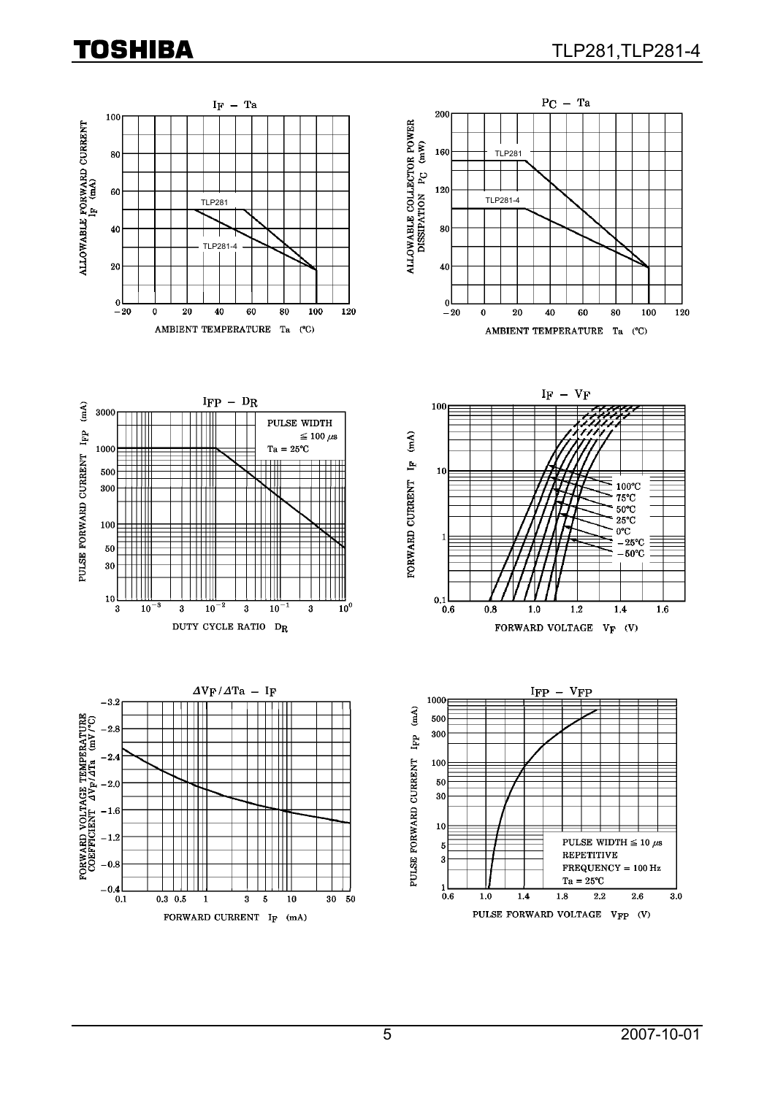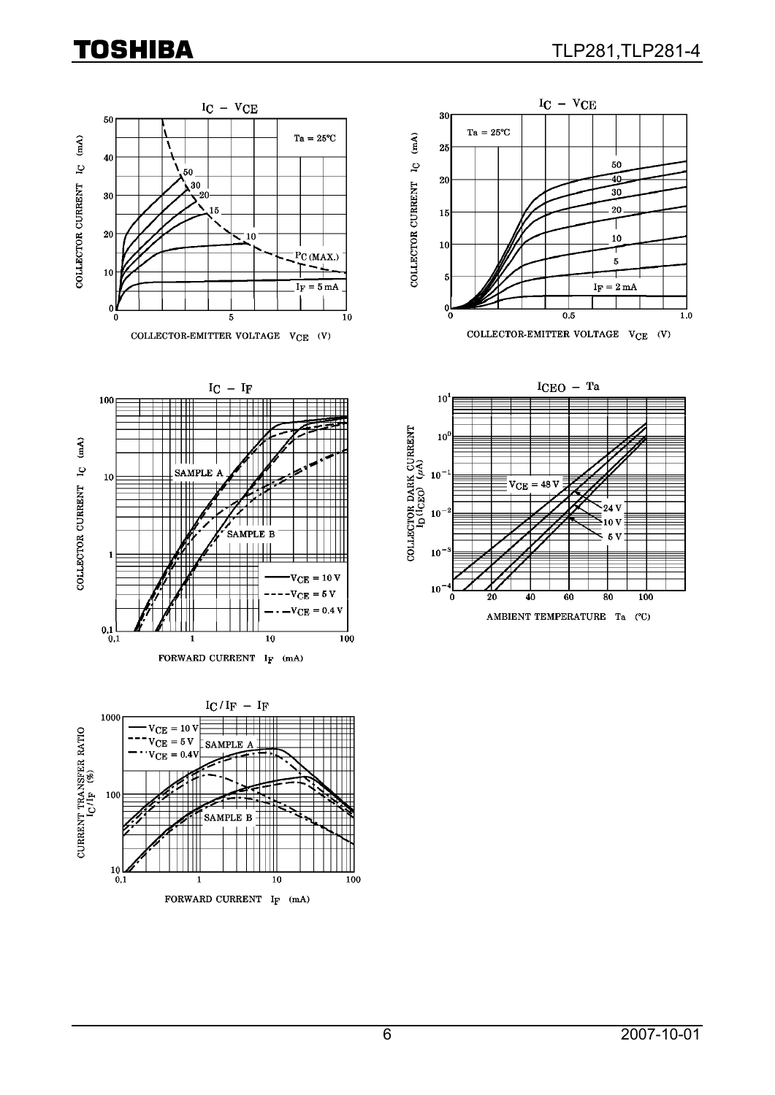







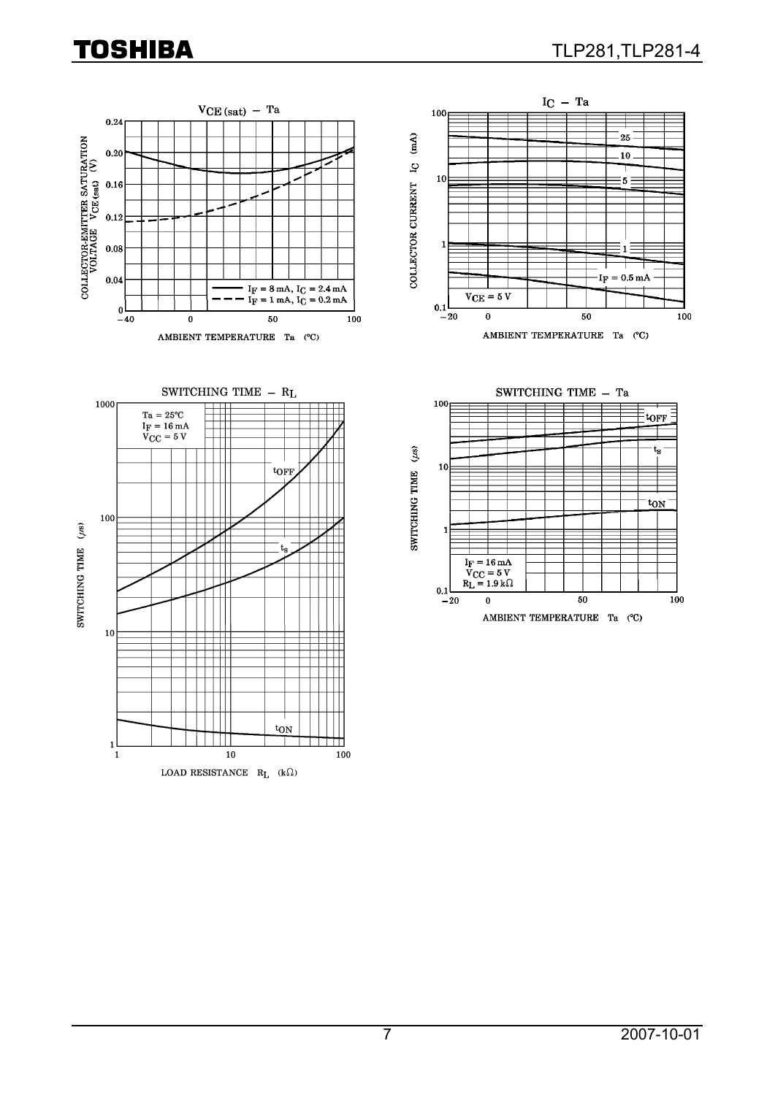